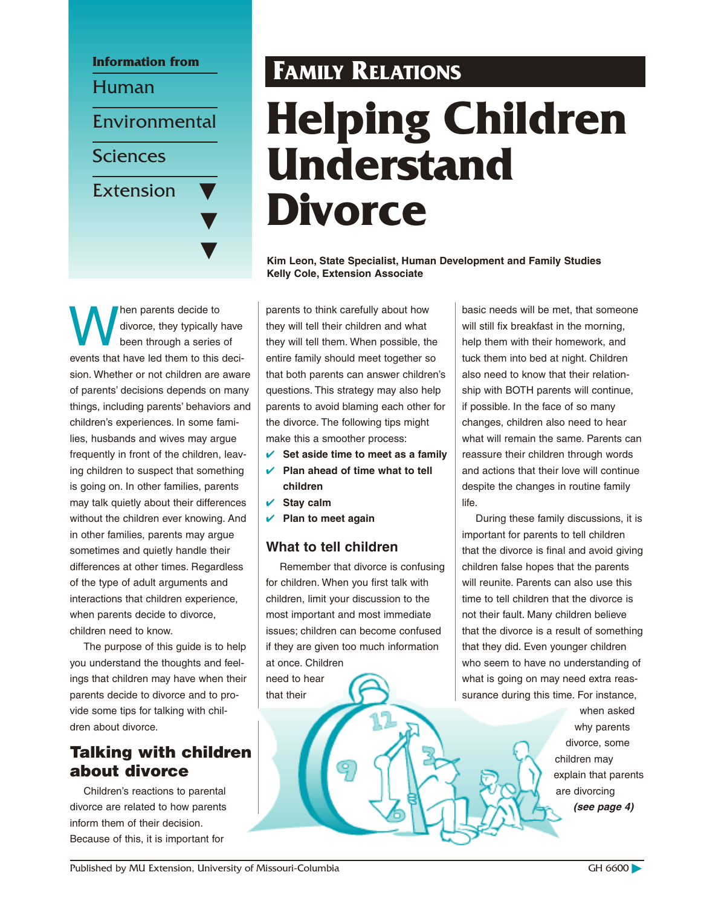

Men parents decide to<br>divorce, they typically<br>been through a series divorce, they typically have been through a series of events that have led them to this decision. Whether or not children are aware of parents' decisions depends on many things, including parents' behaviors and children's experiences. In some families, husbands and wives may argue frequently in front of the children, leaving children to suspect that something is going on. In other families, parents may talk quietly about their differences without the children ever knowing. And in other families, parents may argue sometimes and quietly handle their differences at other times. Regardless of the type of adult arguments and interactions that children experience, when parents decide to divorce, children need to know.

The purpose of this guide is to help you understand the thoughts and feelings that children may have when their parents decide to divorce and to provide some tips for talking with children about divorce.

# **Talking with children about divorce**

Children's reactions to parental divorce are related to how parents inform them of their decision. Because of this, it is important for

# **FAMILY RELATIONS Helping Children Understand Divorce**

**Kim Leon, State Specialist, Human Development and Family Studies Kelly Cole, Extension Associate**

parents to think carefully about how they will tell their children and what they will tell them. When possible, the entire family should meet together so that both parents can answer children's questions. This strategy may also help parents to avoid blaming each other for the divorce. The following tips might make this a smoother process:

- **✔ Set aside time to meet as a family**
- **✔ Plan ahead of time what to tell children**
- **✔ Stay calm**
- **✔ Plan to meet again**

# **What to tell children**

Remember that divorce is confusing for children. When you first talk with children, limit your discussion to the most important and most immediate issues; children can become confused if they are given too much information at once. Children

need to hear that their

basic needs will be met, that someone will still fix breakfast in the morning, help them with their homework, and tuck them into bed at night. Children also need to know that their relationship with BOTH parents will continue, if possible. In the face of so many changes, children also need to hear what will remain the same. Parents can reassure their children through words and actions that their love will continue despite the changes in routine family life.

During these family discussions, it is important for parents to tell children that the divorce is final and avoid giving children false hopes that the parents will reunite. Parents can also use this time to tell children that the divorce is not their fault. Many children believe that the divorce is a result of something that they did. Even younger children who seem to have no understanding of what is going on may need extra reassurance during this time. For instance,

> when asked why parents divorce, some children may explain that parents are divorcing **(see page 4)**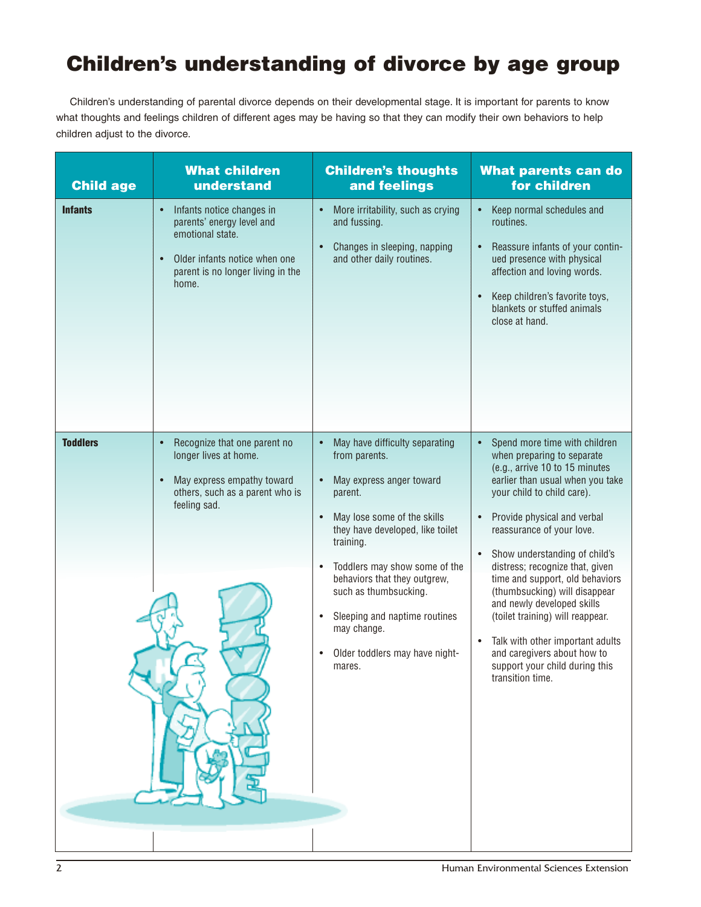# **Children's understanding of divorce by age group**

Children's understanding of parental divorce depends on their developmental stage. It is important for parents to know what thoughts and feelings children of different ages may be having so that they can modify their own behaviors to help children adjust to the divorce.

| <b>Child age</b> | <b>What children</b><br>understand                                                                                                                                                  | <b>Children's thoughts</b><br>and feelings                                                                                                                                                                                                                                                                                                                                                                                                 | <b>What parents can do</b><br>for children                                                                                                                                                                                                                                                                                                                                                                                                                                                                                                                                               |
|------------------|-------------------------------------------------------------------------------------------------------------------------------------------------------------------------------------|--------------------------------------------------------------------------------------------------------------------------------------------------------------------------------------------------------------------------------------------------------------------------------------------------------------------------------------------------------------------------------------------------------------------------------------------|------------------------------------------------------------------------------------------------------------------------------------------------------------------------------------------------------------------------------------------------------------------------------------------------------------------------------------------------------------------------------------------------------------------------------------------------------------------------------------------------------------------------------------------------------------------------------------------|
| <b>Infants</b>   | Infants notice changes in<br>$\bullet$<br>parents' energy level and<br>emotional state.<br>Older infants notice when one<br>$\bullet$<br>parent is no longer living in the<br>home. | More irritability, such as crying<br>$\bullet$<br>and fussing.<br>Changes in sleeping, napping<br>$\bullet$<br>and other daily routines.                                                                                                                                                                                                                                                                                                   | Keep normal schedules and<br>$\bullet$<br>routines.<br>Reassure infants of your contin-<br>ued presence with physical<br>affection and loving words.<br>Keep children's favorite toys,<br>blankets or stuffed animals<br>close at hand.                                                                                                                                                                                                                                                                                                                                                  |
| <b>Toddlers</b>  | Recognize that one parent no<br>$\bullet$<br>longer lives at home.<br>May express empathy toward<br>others, such as a parent who is<br>feeling sad.                                 | May have difficulty separating<br>$\bullet$<br>from parents.<br>May express anger toward<br>$\bullet$<br>parent.<br>May lose some of the skills<br>$\bullet$<br>they have developed, like toilet<br>training.<br>Toddlers may show some of the<br>$\bullet$<br>behaviors that they outgrew,<br>such as thumbsucking.<br>Sleeping and naptime routines<br>$\bullet$<br>may change.<br>Older toddlers may have night-<br>$\bullet$<br>mares. | Spend more time with children<br>$\bullet$<br>when preparing to separate<br>(e.g., arrive 10 to 15 minutes<br>earlier than usual when you take<br>your child to child care).<br>Provide physical and verbal<br>reassurance of your love.<br>Show understanding of child's<br>$\bullet$<br>distress; recognize that, given<br>time and support, old behaviors<br>(thumbsucking) will disappear<br>and newly developed skills<br>(toilet training) will reappear.<br>Talk with other important adults<br>and caregivers about how to<br>support your child during this<br>transition time. |
|                  |                                                                                                                                                                                     |                                                                                                                                                                                                                                                                                                                                                                                                                                            |                                                                                                                                                                                                                                                                                                                                                                                                                                                                                                                                                                                          |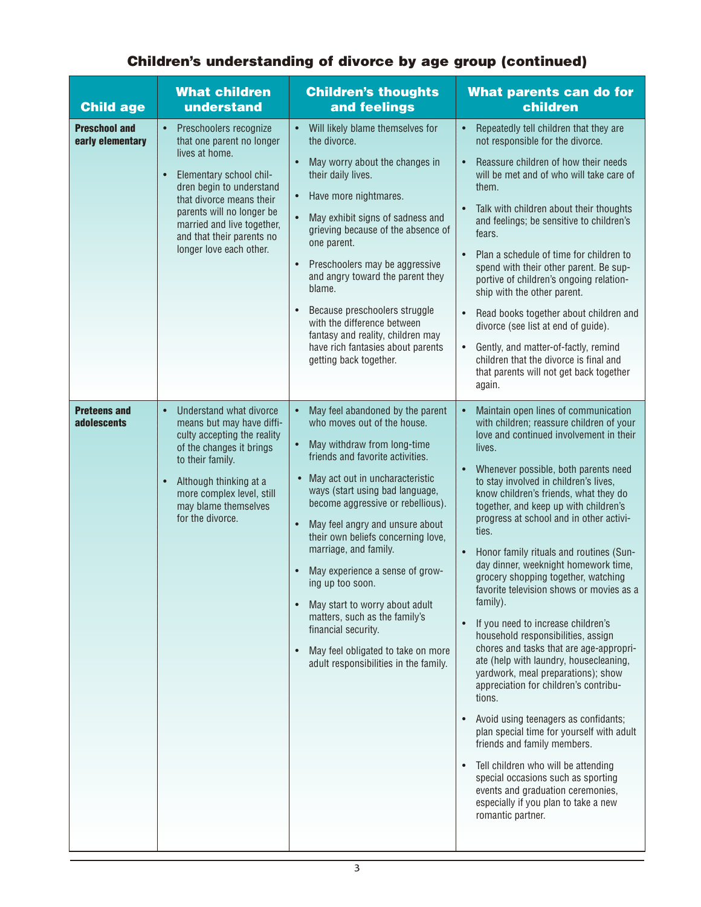| <b>Child age</b>                         | <b>What children</b><br>understand                                                                                                                                                                                                                                                                    | <b>Children's thoughts</b><br>and feelings                                                                                                                                                                                                                                                                                                                                                                                                                                                                                                                                                                                                                    | What parents can do for<br>children                                                                                                                                                                                                                                                                                                                                                                                                                                                                                                                                                                                                                                                                                                                                                                                                                                                                                                                                                                                                                                                                                                                             |
|------------------------------------------|-------------------------------------------------------------------------------------------------------------------------------------------------------------------------------------------------------------------------------------------------------------------------------------------------------|---------------------------------------------------------------------------------------------------------------------------------------------------------------------------------------------------------------------------------------------------------------------------------------------------------------------------------------------------------------------------------------------------------------------------------------------------------------------------------------------------------------------------------------------------------------------------------------------------------------------------------------------------------------|-----------------------------------------------------------------------------------------------------------------------------------------------------------------------------------------------------------------------------------------------------------------------------------------------------------------------------------------------------------------------------------------------------------------------------------------------------------------------------------------------------------------------------------------------------------------------------------------------------------------------------------------------------------------------------------------------------------------------------------------------------------------------------------------------------------------------------------------------------------------------------------------------------------------------------------------------------------------------------------------------------------------------------------------------------------------------------------------------------------------------------------------------------------------|
| <b>Preschool and</b><br>early elementary | Preschoolers recognize<br>$\bullet$<br>that one parent no longer<br>lives at home.<br>Elementary school chil-<br>$\bullet$<br>dren begin to understand<br>that divorce means their<br>parents will no longer be<br>married and live together,<br>and that their parents no<br>longer love each other. | Will likely blame themselves for<br>$\bullet$<br>the divorce.<br>$\bullet$<br>May worry about the changes in<br>their daily lives.<br>Have more nightmares.<br>$\bullet$<br>May exhibit signs of sadness and<br>grieving because of the absence of<br>one parent.<br>Preschoolers may be aggressive<br>$\bullet$<br>and angry toward the parent they<br>blame.<br>Because preschoolers struggle<br>$\bullet$<br>with the difference between<br>fantasy and reality, children may<br>have rich fantasies about parents<br>getting back together.                                                                                                               | Repeatedly tell children that they are<br>$\bullet$<br>not responsible for the divorce.<br>Reassure children of how their needs<br>$\bullet$<br>will be met and of who will take care of<br>them.<br>Talk with children about their thoughts<br>$\bullet$<br>and feelings; be sensitive to children's<br>fears.<br>Plan a schedule of time for children to<br>$\bullet$<br>spend with their other parent. Be sup-<br>portive of children's ongoing relation-<br>ship with the other parent.<br>Read books together about children and<br>$\bullet$<br>divorce (see list at end of guide).<br>Gently, and matter-of-factly, remind<br>children that the divorce is final and<br>that parents will not get back together<br>again.                                                                                                                                                                                                                                                                                                                                                                                                                                |
| <b>Preteens and</b><br>adolescents       | Understand what divorce<br>$\bullet$<br>means but may have diffi-<br>culty accepting the reality<br>of the changes it brings<br>to their family.<br>$\bullet$<br>Although thinking at a<br>more complex level, still<br>may blame themselves<br>for the divorce.                                      | May feel abandoned by the parent<br>$\bullet$<br>who moves out of the house.<br>May withdraw from long-time<br>$\bullet$<br>friends and favorite activities.<br>May act out in uncharacteristic<br>ways (start using bad language,<br>become aggressive or rebellious).<br>$\bullet$<br>May feel angry and unsure about<br>their own beliefs concerning love,<br>marriage, and family.<br>May experience a sense of grow-<br>$\bullet$<br>ing up too soon.<br>May start to worry about adult<br>$\bullet$<br>matters, such as the family's<br>financial security.<br>May feel obligated to take on more<br>$\bullet$<br>adult responsibilities in the family. | Maintain open lines of communication<br>with children; reassure children of your<br>love and continued involvement in their<br>lives.<br>Whenever possible, both parents need<br>$\bullet$<br>to stay involved in children's lives,<br>know children's friends, what they do<br>together, and keep up with children's<br>progress at school and in other activi-<br>ties.<br>Honor family rituals and routines (Sun-<br>$\bullet$<br>day dinner, weeknight homework time,<br>grocery shopping together, watching<br>favorite television shows or movies as a<br>family).<br>If you need to increase children's<br>$\bullet$<br>household responsibilities, assign<br>chores and tasks that are age-appropri-<br>ate (help with laundry, housecleaning,<br>yardwork, meal preparations); show<br>appreciation for children's contribu-<br>tions.<br>Avoid using teenagers as confidants;<br>$\bullet$<br>plan special time for yourself with adult<br>friends and family members.<br>Tell children who will be attending<br>special occasions such as sporting<br>events and graduation ceremonies,<br>especially if you plan to take a new<br>romantic partner. |

# **Children's understanding of divorce by age group (continued)**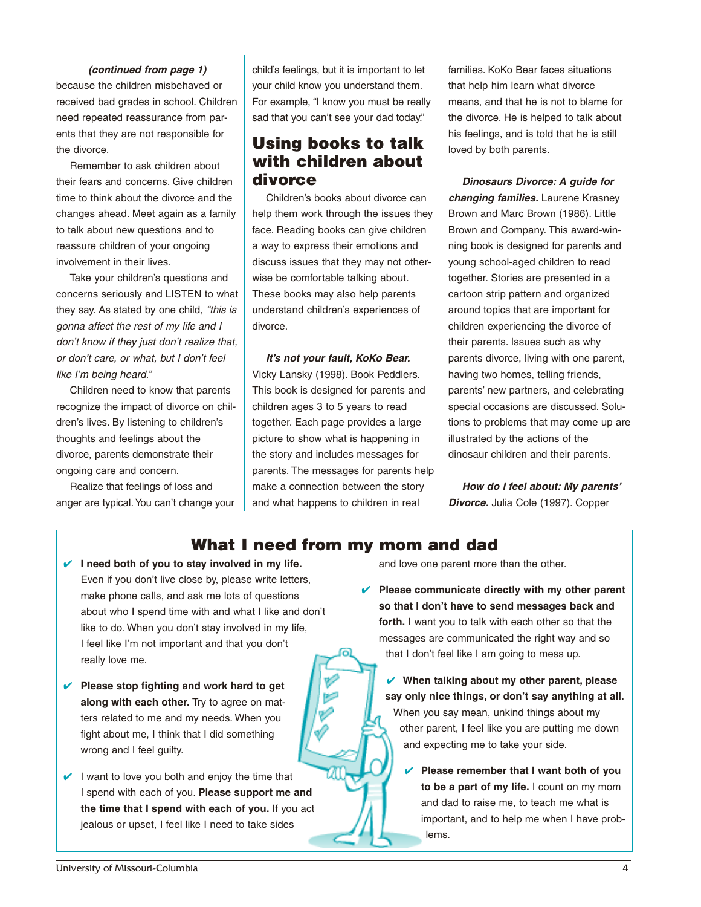#### **(continued from page 1)**

because the children misbehaved or received bad grades in school. Children need repeated reassurance from parents that they are not responsible for the divorce.

Remember to ask children about their fears and concerns. Give children time to think about the divorce and the changes ahead. Meet again as a family to talk about new questions and to reassure children of your ongoing involvement in their lives.

Take your children's questions and concerns seriously and LISTEN to what they say. As stated by one child, "this is gonna affect the rest of my life and I don't know if they just don't realize that, or don't care, or what, but I don't feel like I'm being heard."

Children need to know that parents recognize the impact of divorce on children's lives. By listening to children's thoughts and feelings about the divorce, parents demonstrate their ongoing care and concern.

Realize that feelings of loss and anger are typical.You can't change your

child's feelings, but it is important to let your child know you understand them. For example, "I know you must be really sad that you can't see your dad today."

# **Using books to talk with children about divorce**

Children's books about divorce can help them work through the issues they face. Reading books can give children a way to express their emotions and discuss issues that they may not otherwise be comfortable talking about. These books may also help parents understand children's experiences of divorce.

## **It's not your fault, KoKo Bear.** Vicky Lansky (1998). Book Peddlers. This book is designed for parents and children ages 3 to 5 years to read together. Each page provides a large picture to show what is happening in the story and includes messages for parents. The messages for parents help make a connection between the story and what happens to children in real

families. KoKo Bear faces situations that help him learn what divorce means, and that he is not to blame for the divorce. He is helped to talk about his feelings, and is told that he is still loved by both parents.

**Dinosaurs Divorce: A guide for changing families.** Laurene Krasney Brown and Marc Brown (1986). Little Brown and Company. This award-winning book is designed for parents and young school-aged children to read together. Stories are presented in a cartoon strip pattern and organized around topics that are important for children experiencing the divorce of their parents. Issues such as why parents divorce, living with one parent, having two homes, telling friends, parents' new partners, and celebrating special occasions are discussed. Solutions to problems that may come up are illustrated by the actions of the dinosaur children and their parents.

**How do I feel about: My parents' Divorce.** Julia Cole (1997). Copper

# **What I need from my mom and dad**

ſō

- **✔ I need both of you to stay involved in my life.** Even if you don't live close by, please write letters, make phone calls, and ask me lots of questions about who I spend time with and what I like and don't like to do. When you don't stay involved in my life, I feel like I'm not important and that you don't really love me.
- **✔ Please stop fighting and work hard to get along with each other.** Try to agree on matters related to me and my needs. When you fight about me, I think that I did something wrong and I feel guilty.
- **✔** I want to love you both and enjoy the time that I spend with each of you. **Please support me and the time that I spend with each of you.** If you act jealous or upset, I feel like I need to take sides

and love one parent more than the other.

**✔ Please communicate directly with my other parent so that I don't have to send messages back and forth.** I want you to talk with each other so that the messages are communicated the right way and so that I don't feel like I am going to mess up.

**✔ When talking about my other parent, please say only nice things, or don't say anything at all.** When you say mean, unkind things about my other parent, I feel like you are putting me down and expecting me to take your side.

**✔ Please remember that I want both of you to be a part of my life.** I count on my mom and dad to raise me, to teach me what is important, and to help me when I have problems.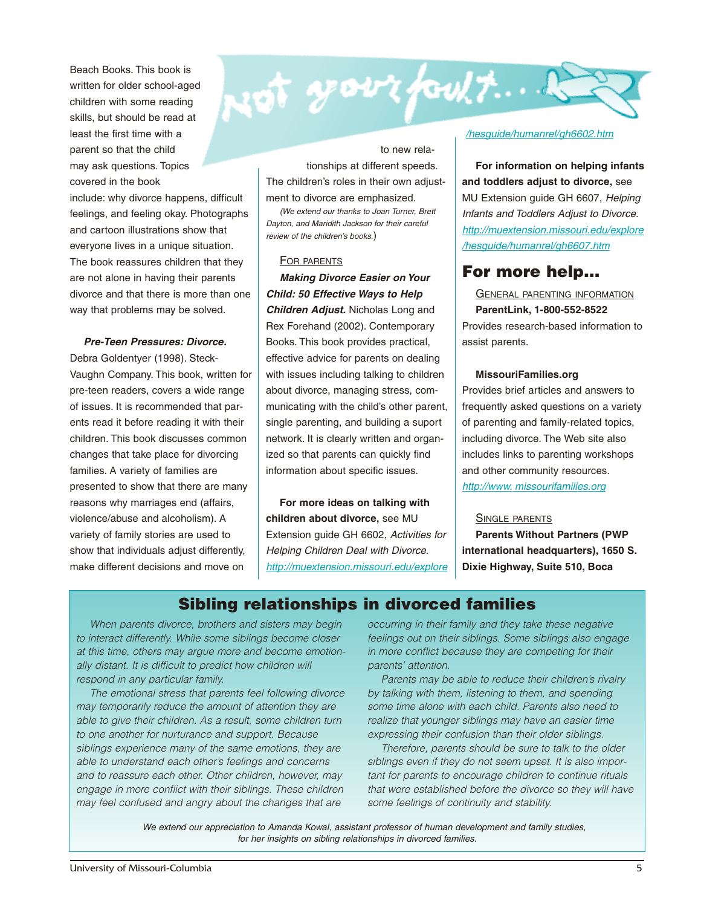Beach Books. This book is written for older school-aged children with some reading skills, but should be read at least the first time with a parent so that the child may ask questions. Topics covered in the book

include: why divorce happens, difficult feelings, and feeling okay. Photographs and cartoon illustrations show that everyone lives in a unique situation. The book reassures children that they are not alone in having their parents divorce and that there is more than one way that problems may be solved.

#### **Pre-Teen Pressures: Divorce.**

Debra Goldentyer (1998). Steck-Vaughn Company. This book, written for pre-teen readers, covers a wide range of issues. It is recommended that parents read it before reading it with their children. This book discusses common changes that take place for divorcing families. A variety of families are presented to show that there are many reasons why marriages end (affairs, violence/abuse and alcoholism). A variety of family stories are used to show that individuals adjust differently, make different decisions and move on

to new relationships at different speeds. The children's roles in their own adjustment to divorce are emphasized.

sot your foult....

(We extend our thanks to Joan Turner, Brett Dayton, and Maridith Jackson for their careful review of the children's books.)

#### FOR PARENTS

**Making Divorce Easier on Your Child: 50 Effective Ways to Help Children Adjust.** Nicholas Long and Rex Forehand (2002). Contemporary Books. This book provides practical, effective advice for parents on dealing with issues including talking to children about divorce, managing stress, communicating with the child's other parent, single parenting, and building a suport network. It is clearly written and organized so that parents can quickly find information about specific issues.

**For more ideas on talking with children about divorce,** see MU Extension guide GH 6602, Activities for Helping Children Deal with Divorce. http://muextension.missouri.edu/explore

#### /hesguide/humanrel/gh6602.htm

**For information on helping infants and toddlers adjust to divorce,** see MU Extension guide GH 6607, Helping Infants and Toddlers Adjust to Divorce. http://muextension.missouri.edu/explore /hesguide/humanrel/gh6607.htm

# **For more help…**

GENERAL PARENTING INFORMATION **ParentLink, 1-800-552-8522** Provides research-based information to assist parents.

#### **MissouriFamilies.org**

Provides brief articles and answers to frequently asked questions on a variety of parenting and family-related topics, including divorce. The Web site also includes links to parenting workshops and other community resources. http://www. missourifamilies.org

#### SINGLE PARENTS

**Parents Without Partners (PWP international headquarters), 1650 S. Dixie Highway, Suite 510, Boca**

# **Sibling relationships in divorced families**

When parents divorce, brothers and sisters may begin to interact differently. While some siblings become closer at this time, others may argue more and become emotionally distant. It is difficult to predict how children will respond in any particular family.

The emotional stress that parents feel following divorce may temporarily reduce the amount of attention they are able to give their children. As a result, some children turn to one another for nurturance and support. Because siblings experience many of the same emotions, they are able to understand each other's feelings and concerns and to reassure each other. Other children, however, may engage in more conflict with their siblings. These children may feel confused and angry about the changes that are

occurring in their family and they take these negative feelings out on their siblings. Some siblings also engage in more conflict because they are competing for their parents' attention.

Parents may be able to reduce their children's rivalry by talking with them, listening to them, and spending some time alone with each child. Parents also need to realize that younger siblings may have an easier time expressing their confusion than their older siblings.

Therefore, parents should be sure to talk to the older siblings even if they do not seem upset. It is also important for parents to encourage children to continue rituals that were established before the divorce so they will have some feelings of continuity and stability.

We extend our appreciation to Amanda Kowal, assistant professor of human development and family studies, for her insights on sibling relationships in divorced families.